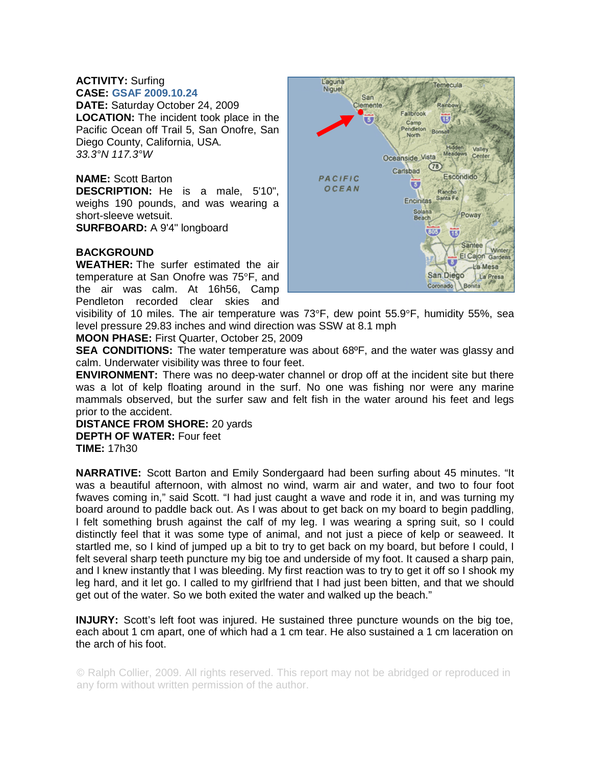## **ACTIVITY:** Surfing

**CASE: GSAF 2009.10.24 DATE:** Saturday October 24, 2009 **LOCATION:** The incident took place in the Pacific Ocean off Trail 5, San Onofre, San Diego County, California, USA*. 33.3°N 117.3°W* 

**NAME:** Scott Barton **DESCRIPTION:** He is a male, 5'10", weighs 190 pounds, and was wearing a short-sleeve wetsuit. **SURFBOARD:** A 9'4" longboard

## **BACKGROUND**

**WEATHER:** The surfer estimated the air temperature at San Onofre was 75°F, and the air was calm. At 16h56, Camp Pendleton recorded clear skies and

Laguna Temecula Niguel San Clemente Fallbrook 15 Camp Pendleton Bonsall North Val Oceanside Vista  $\sqrt{78}$ Carisbad Escondido PACIFIC  $\overline{\mathbf{5}}$ OCEAN Santa Encinitas Solana Poway Beach w Santee **Winter** El Cajon Gardens La Mesa San Diego La Presa Coronado Bonita

visibility of 10 miles. The air temperature was 73°F, dew point 55.9°F, humidity 55%, sea level pressure 29.83 inches and wind direction was SSW at 8.1 mph

**MOON PHASE:** First Quarter, October 25, 2009

**SEA CONDITIONS:** The water temperature was about 68°F, and the water was glassy and calm. Underwater visibility was three to four feet.

**ENVIRONMENT:** There was no deep-water channel or drop off at the incident site but there was a lot of kelp floating around in the surf. No one was fishing nor were any marine mammals observed, but the surfer saw and felt fish in the water around his feet and legs prior to the accident.

**DISTANCE FROM SHORE:** 20 yards **DEPTH OF WATER:** Four feet **TIME:** 17h30

**NARRATIVE:** Scott Barton and Emily Sondergaard had been surfing about 45 minutes. "It was a beautiful afternoon, with almost no wind, warm air and water, and two to four foot fwaves coming in," said Scott. "I had just caught a wave and rode it in, and was turning my board around to paddle back out. As I was about to get back on my board to begin paddling, I felt something brush against the calf of my leg. I was wearing a spring suit, so I could distinctly feel that it was some type of animal, and not just a piece of kelp or seaweed. It startled me, so I kind of jumped up a bit to try to get back on my board, but before I could, I felt several sharp teeth puncture my big toe and underside of my foot. It caused a sharp pain, and I knew instantly that I was bleeding. My first reaction was to try to get it off so I shook my leg hard, and it let go. I called to my girlfriend that I had just been bitten, and that we should get out of the water. So we both exited the water and walked up the beach."

**INJURY:** Scott's left foot was injured. He sustained three puncture wounds on the big toe, each about 1 cm apart, one of which had a 1 cm tear. He also sustained a 1 cm laceration on the arch of his foot.

© Ralph Collier, 2009. All rights reserved. This report may not be abridged or reproduced in any form without written permission of the author.